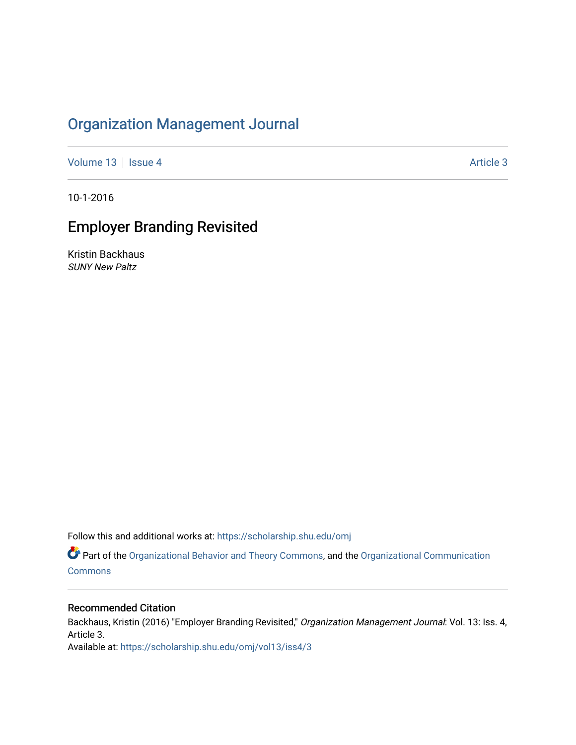# [Organization Management Journal](https://scholarship.shu.edu/omj)

[Volume 13](https://scholarship.shu.edu/omj/vol13) | [Issue 4](https://scholarship.shu.edu/omj/vol13/iss4) Article 3

10-1-2016

# Employer Branding Revisited

Kristin Backhaus SUNY New Paltz

Follow this and additional works at: [https://scholarship.shu.edu/omj](https://scholarship.shu.edu/omj?utm_source=scholarship.shu.edu%2Fomj%2Fvol13%2Fiss4%2F3&utm_medium=PDF&utm_campaign=PDFCoverPages) 

Part of the [Organizational Behavior and Theory Commons,](http://network.bepress.com/hgg/discipline/639?utm_source=scholarship.shu.edu%2Fomj%2Fvol13%2Fiss4%2F3&utm_medium=PDF&utm_campaign=PDFCoverPages) and the [Organizational Communication](http://network.bepress.com/hgg/discipline/335?utm_source=scholarship.shu.edu%2Fomj%2Fvol13%2Fiss4%2F3&utm_medium=PDF&utm_campaign=PDFCoverPages) **[Commons](http://network.bepress.com/hgg/discipline/335?utm_source=scholarship.shu.edu%2Fomj%2Fvol13%2Fiss4%2F3&utm_medium=PDF&utm_campaign=PDFCoverPages)** 

## Recommended Citation

Backhaus, Kristin (2016) "Employer Branding Revisited," Organization Management Journal: Vol. 13: Iss. 4, Article 3. Available at: [https://scholarship.shu.edu/omj/vol13/iss4/3](https://scholarship.shu.edu/omj/vol13/iss4/3?utm_source=scholarship.shu.edu%2Fomj%2Fvol13%2Fiss4%2F3&utm_medium=PDF&utm_campaign=PDFCoverPages)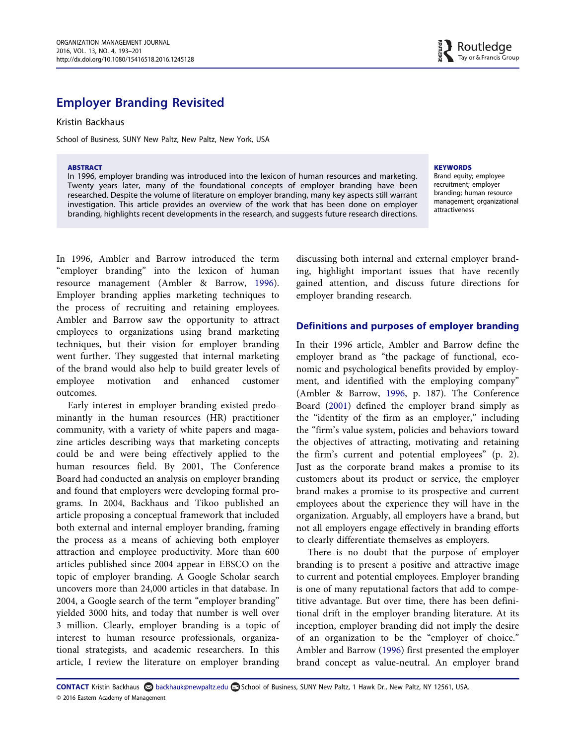## Employer Branding Revisited

Kristin Backhaus

School of Business, SUNY New Paltz, New Paltz, New York, USA

#### ABSTRACT

In 1996, employer branding was introduced into the lexicon of human resources and marketing. Twenty years later, many of the foundational concepts of employer branding have been researched. Despite the volume of literature on employer branding, many key aspects still warrant investigation. This article provides an overview of the work that has been done on employer branding, highlights recent developments in the research, and suggests future research directions.

#### **KEYWORDS**

Brand equity; employee recruitment; employer branding; human resource management; organizational attractiveness

In 1996, Ambler and Barrow introduced the term "employer branding" into the lexicon of human resource management (Ambler & Barrow, [1996\)](#page-7-0). Employer branding applies marketing techniques to the process of recruiting and retaining employees. Ambler and Barrow saw the opportunity to attract employees to organizations using brand marketing techniques, but their vision for employer branding went further. They suggested that internal marketing of the brand would also help to build greater levels of employee motivation and enhanced customer outcomes.

Early interest in employer branding existed predominantly in the human resources (HR) practitioner community, with a variety of white papers and magazine articles describing ways that marketing concepts could be and were being effectively applied to the human resources field. By 2001, The Conference Board had conducted an analysis on employer branding and found that employers were developing formal programs. In 2004, Backhaus and Tikoo published an article proposing a conceptual framework that included both external and internal employer branding, framing the process as a means of achieving both employer attraction and employee productivity. More than 600 articles published since 2004 appear in EBSCO on the topic of employer branding. A Google Scholar search uncovers more than 24,000 articles in that database. In 2004, a Google search of the term "employer branding" yielded 3000 hits, and today that number is well over 3 million. Clearly, employer branding is a topic of interest to human resource professionals, organizational strategists, and academic researchers. In this article, I review the literature on employer branding

discussing both internal and external employer branding, highlight important issues that have recently gained attention, and discuss future directions for employer branding research.

#### Definitions and purposes of employer branding

In their 1996 article, Ambler and Barrow define the employer brand as "the package of functional, economic and psychological benefits provided by employment, and identified with the employing company" (Ambler & Barrow, [1996,](#page-7-0) p. 187). The Conference Board ([2001\)](#page-8-0) defined the employer brand simply as the "identity of the firm as an employer," including the "firm's value system, policies and behaviors toward the objectives of attracting, motivating and retaining the firm's current and potential employees" (p. 2). Just as the corporate brand makes a promise to its customers about its product or service, the employer brand makes a promise to its prospective and current employees about the experience they will have in the organization. Arguably, all employers have a brand, but not all employers engage effectively in branding efforts to clearly differentiate themselves as employers.

There is no doubt that the purpose of employer branding is to present a positive and attractive image to current and potential employees. Employer branding is one of many reputational factors that add to competitive advantage. But over time, there has been definitional drift in the employer branding literature. At its inception, employer branding did not imply the desire of an organization to be the "employer of choice." Ambler and Barrow [\(1996](#page-7-0)) first presented the employer brand concept as value-neutral. An employer brand

CONTACT Kristin Backhaus backhauk@newpaltz.edu School of Business, SUNY New Paltz, 1 Hawk Dr., New Paltz, NY 12561, USA. © 2016 Eastern Academy of Management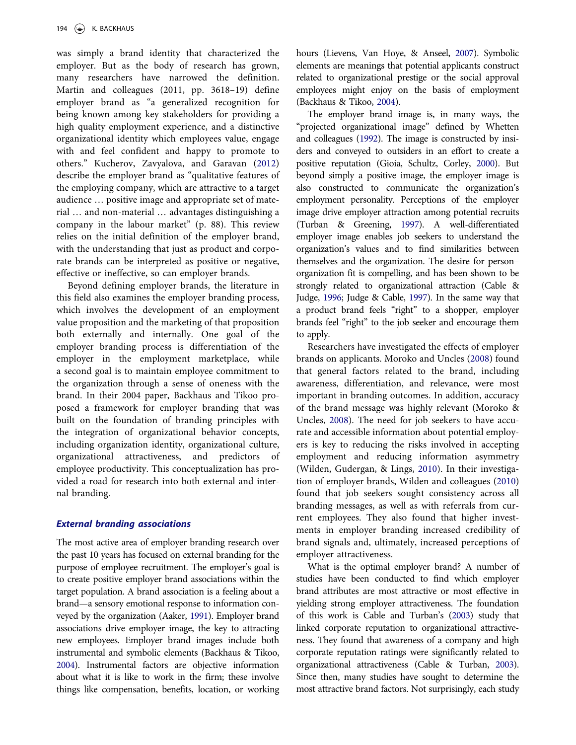was simply a brand identity that characterized the employer. But as the body of research has grown, many researchers have narrowed the definition. Martin and colleagues (2011, pp. 3618–19) define employer brand as "a generalized recognition for being known among key stakeholders for providing a high quality employment experience, and a distinctive organizational identity which employees value, engage with and feel confident and happy to promote to others." Kucherov, Zavyalova, and Garavan [\(2012](#page-8-1)) describe the employer brand as "qualitative features of the employing company, which are attractive to a target audience … positive image and appropriate set of material … and non-material … advantages distinguishing a company in the labour market" (p. 88). This review relies on the initial definition of the employer brand, with the understanding that just as product and corporate brands can be interpreted as positive or negative, effective or ineffective, so can employer brands.

Beyond defining employer brands, the literature in this field also examines the employer branding process, which involves the development of an employment value proposition and the marketing of that proposition both externally and internally. One goal of the employer branding process is differentiation of the employer in the employment marketplace, while a second goal is to maintain employee commitment to the organization through a sense of oneness with the brand. In their 2004 paper, Backhaus and Tikoo proposed a framework for employer branding that was built on the foundation of branding principles with the integration of organizational behavior concepts, including organization identity, organizational culture, organizational attractiveness, and predictors of employee productivity. This conceptualization has provided a road for research into both external and internal branding.

#### External branding associations

The most active area of employer branding research over the past 10 years has focused on external branding for the purpose of employee recruitment. The employer's goal is to create positive employer brand associations within the target population. A brand association is a feeling about a brand—a sensory emotional response to information conveyed by the organization (Aaker, [1991](#page-7-1)). Employer brand associations drive employer image, the key to attracting new employees. Employer brand images include both instrumental and symbolic elements (Backhaus & Tikoo, [2004](#page-7-2)). Instrumental factors are objective information about what it is like to work in the firm; these involve things like compensation, benefits, location, or working hours (Lievens, Van Hoye, & Anseel, [2007](#page-8-2)). Symbolic elements are meanings that potential applicants construct related to organizational prestige or the social approval employees might enjoy on the basis of employment (Backhaus & Tikoo, [2004](#page-7-2)).

The employer brand image is, in many ways, the "projected organizational image" defined by Whetten and colleagues [\(1992\)](#page-9-0). The image is constructed by insiders and conveyed to outsiders in an effort to create a positive reputation (Gioia, Schultz, Corley, [2000\)](#page-8-3). But beyond simply a positive image, the employer image is also constructed to communicate the organization's employment personality. Perceptions of the employer image drive employer attraction among potential recruits (Turban & Greening, [1997](#page-9-1)). A well-differentiated employer image enables job seekers to understand the organization's values and to find similarities between themselves and the organization. The desire for person– organization fit is compelling, and has been shown to be strongly related to organizational attraction (Cable & Judge, [1996](#page-8-4); Judge & Cable, [1997](#page-8-5)). In the same way that a product brand feels "right" to a shopper, employer brands feel "right" to the job seeker and encourage them to apply.

Researchers have investigated the effects of employer brands on applicants. Moroko and Uncles [\(2008](#page-8-6)) found that general factors related to the brand, including awareness, differentiation, and relevance, were most important in branding outcomes. In addition, accuracy of the brand message was highly relevant (Moroko & Uncles, [2008](#page-8-6)). The need for job seekers to have accurate and accessible information about potential employers is key to reducing the risks involved in accepting employment and reducing information asymmetry (Wilden, Gudergan, & Lings, [2010\)](#page-9-2). In their investigation of employer brands, Wilden and colleagues [\(2010](#page-9-2)) found that job seekers sought consistency across all branding messages, as well as with referrals from current employees. They also found that higher investments in employer branding increased credibility of brand signals and, ultimately, increased perceptions of employer attractiveness.

What is the optimal employer brand? A number of studies have been conducted to find which employer brand attributes are most attractive or most effective in yielding strong employer attractiveness. The foundation of this work is Cable and Turban's [\(2003\)](#page-8-7) study that linked corporate reputation to organizational attractiveness. They found that awareness of a company and high corporate reputation ratings were significantly related to organizational attractiveness (Cable & Turban, [2003](#page-8-7)). Since then, many studies have sought to determine the most attractive brand factors. Not surprisingly, each study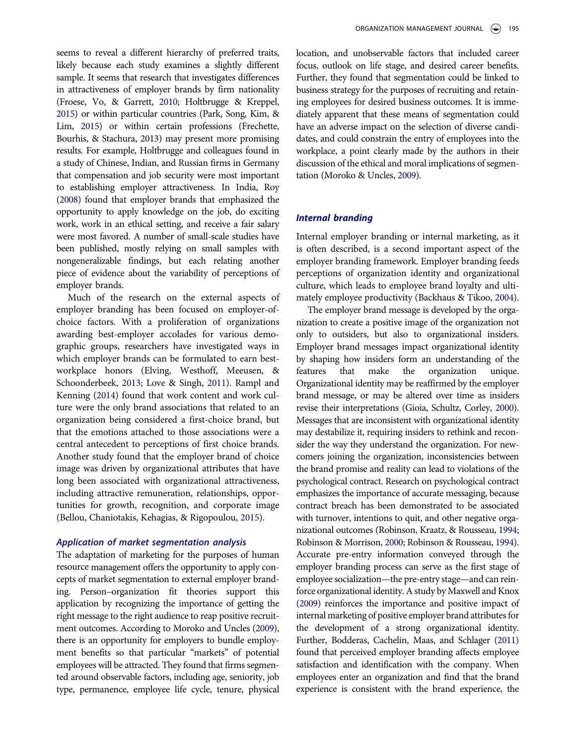seems to reveal a different hierarchy of preferred traits, likely because each study examines a slightly different sample. It seems that research that investigates differences in attractiveness of employer brands by firm nationality (Froese, Vo, & Garrett, [2010;](#page-8-8) Holtbrugge & Kreppel, [2015](#page-8-9)) or within particular countries (Park, Song, Kim, & Lim, [2015](#page-8-10)) or within certain professions (Frechette, Bourhis, & Stachura, 2013) may present more promising results. For example, Holtbrugge and colleagues found in a study of Chinese, Indian, and Russian firms in Germany that compensation and job security were most important to establishing employer attractiveness. In India, Roy [\(2008\)](#page-9-3) found that employer brands that emphasized the opportunity to apply knowledge on the job, do exciting work, work in an ethical setting, and receive a fair salary were most favored. A number of small-scale studies have been published, mostly relying on small samples with nongeneralizable findings, but each relating another piece of evidence about the variability of perceptions of employer brands.

Much of the research on the external aspects of employer branding has been focused on employer-ofchoice factors. With a proliferation of organizations awarding best-employer accolades for various demographic groups, researchers have investigated ways in which employer brands can be formulated to earn bestworkplace honors (Elving, Westhoff, Meeusen, & Schoonderbeek, [2013](#page-8-11); Love & Singh, [2011](#page-8-12)). Rampl and Kenning ([2014\)](#page-9-4) found that work content and work culture were the only brand associations that related to an organization being considered a first-choice brand, but that the emotions attached to those associations were a central antecedent to perceptions of first choice brands. Another study found that the employer brand of choice image was driven by organizational attributes that have long been associated with organizational attractiveness, including attractive remuneration, relationships, opportunities for growth, recognition, and corporate image (Bellou, Chaniotakis, Kehagias, & Rigopoulou, [2015\)](#page-7-3).

The adaptation of marketing for the purposes of human The adaptation of marketing for the purposes of human resource management offers the opportunity to apply concepts of market segmentation to external employer branding. Person–organization fit theories support this application by recognizing the importance of getting the right message to the right audience to reap positive recruitment outcomes. According to Moroko and Uncles [\(2009](#page-8-13)), there is an opportunity for employers to bundle employment benefits so that particular "markets" of potential employees will be attracted. They found that firms segmented around observable factors, including age, seniority, job type, permanence, employee life cycle, tenure, physical location, and unobservable factors that included career focus, outlook on life stage, and desired career benefits. Further, they found that segmentation could be linked to business strategy for the purposes of recruiting and retaining employees for desired business outcomes. It is immediately apparent that these means of segmentation could have an adverse impact on the selection of diverse candidates, and could constrain the entry of employees into the workplace, a point clearly made by the authors in their discussion of the ethical and moral implications of segmentation (Moroko & Uncles, [2009](#page-8-13)).

#### Internal branding

Internal employer branding or internal marketing, as it is often described, is a second important aspect of the employer branding framework. Employer branding feeds perceptions of organization identity and organizational culture, which leads to employee brand loyalty and ultimately employee productivity (Backhaus & Tikoo, [2004](#page-7-2)).

The employer brand message is developed by the organization to create a positive image of the organization not only to outsiders, but also to organizational insiders. Employer brand messages impact organizational identity by shaping how insiders form an understanding of the features that make the organization unique. Organizational identity may be reaffirmed by the employer brand message, or may be altered over time as insiders revise their interpretations (Gioia, Schultz, Corley, [2000](#page-8-3)). Messages that are inconsistent with organizational identity may destabilize it, requiring insiders to rethink and reconsider the way they understand the organization. For newcomers joining the organization, inconsistencies between the brand promise and reality can lead to violations of the psychological contract. Research on psychological contract emphasizes the importance of accurate messaging, because contract breach has been demonstrated to be associated with turnover, intentions to quit, and other negative organizational outcomes (Robinson, Kraatz, & Rousseau, [1994;](#page-9-5) Robinson & Morrison, [2000;](#page-9-6) Robinson & Rousseau, [1994](#page-9-7)). Accurate pre-entry information conveyed through the employer branding process can serve as the first stage of employee socialization—the pre-entry stage—and can reinforce organizational identity. A study by Maxwell and Knox [\(2009\)](#page-8-14) reinforces the importance and positive impact of internal marketing of positive employer brand attributes for the development of a strong organizational identity. Further, Bodderas, Cachelin, Maas, and Schlager [\(2011](#page-7-4)) found that perceived employer branding affects employee satisfaction and identification with the company. When employees enter an organization and find that the brand experience is consistent with the brand experience, the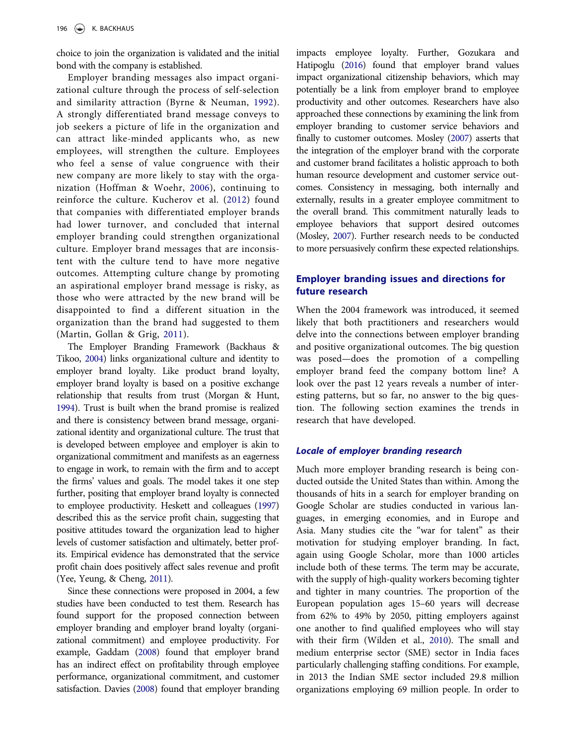choice to join the organization is validated and the initial bond with the company is established.

Employer branding messages also impact organizational culture through the process of self-selection and similarity attraction (Byrne & Neuman, [1992\)](#page-8-15). A strongly differentiated brand message conveys to job seekers a picture of life in the organization and can attract like-minded applicants who, as new employees, will strengthen the culture. Employees who feel a sense of value congruence with their new company are more likely to stay with the organization (Hoffman & Woehr, [2006\)](#page-8-16), continuing to reinforce the culture. Kucherov et al. [\(2012](#page-8-1)) found that companies with differentiated employer brands had lower turnover, and concluded that internal employer branding could strengthen organizational culture. Employer brand messages that are inconsistent with the culture tend to have more negative outcomes. Attempting culture change by promoting an aspirational employer brand message is risky, as those who were attracted by the new brand will be disappointed to find a different situation in the organization than the brand had suggested to them (Martin, Gollan & Grig, [2011\)](#page-8-17).

The Employer Branding Framework (Backhaus & Tikoo, [2004\)](#page-7-2) links organizational culture and identity to employer brand loyalty. Like product brand loyalty, employer brand loyalty is based on a positive exchange relationship that results from trust (Morgan & Hunt, [1994](#page-8-18)). Trust is built when the brand promise is realized and there is consistency between brand message, organizational identity and organizational culture. The trust that is developed between employee and employer is akin to organizational commitment and manifests as an eagerness to engage in work, to remain with the firm and to accept the firms' values and goals. The model takes it one step further, positing that employer brand loyalty is connected to employee productivity. Heskett and colleagues [\(1997](#page-8-19)) described this as the service profit chain, suggesting that positive attitudes toward the organization lead to higher levels of customer satisfaction and ultimately, better profits. Empirical evidence has demonstrated that the service profit chain does positively affect sales revenue and profit (Yee, Yeung, & Cheng, [2011](#page-9-8)).

Since these connections were proposed in 2004, a few studies have been conducted to test them. Research has found support for the proposed connection between employer branding and employer brand loyalty (organizational commitment) and employee productivity. For example, Gaddam [\(2008](#page-8-20)) found that employer brand has an indirect effect on profitability through employee performance, organizational commitment, and customer satisfaction. Davies [\(2008](#page-8-21)) found that employer branding

impacts employee loyalty. Further, Gozukara and Hatipoglu [\(2016\)](#page-8-22) found that employer brand values impact organizational citizenship behaviors, which may potentially be a link from employer brand to employee productivity and other outcomes. Researchers have also approached these connections by examining the link from employer branding to customer service behaviors and finally to customer outcomes. Mosley [\(2007\)](#page-8-23) asserts that the integration of the employer brand with the corporate and customer brand facilitates a holistic approach to both human resource development and customer service outcomes. Consistency in messaging, both internally and externally, results in a greater employee commitment to the overall brand. This commitment naturally leads to employee behaviors that support desired outcomes (Mosley, [2007](#page-8-23)). Further research needs to be conducted to more persuasively confirm these expected relationships.

### Employer branding issues and directions for future research

When the 2004 framework was introduced, it seemed likely that both practitioners and researchers would delve into the connections between employer branding and positive organizational outcomes. The big question was posed—does the promotion of a compelling employer brand feed the company bottom line? A look over the past 12 years reveals a number of interesting patterns, but so far, no answer to the big question. The following section examines the trends in research that have developed.

#### Locale of employer branding research

Much more employer branding research is being conducted outside the United States than within. Among the thousands of hits in a search for employer branding on Google Scholar are studies conducted in various languages, in emerging economies, and in Europe and Asia. Many studies cite the "war for talent" as their motivation for studying employer branding. In fact, again using Google Scholar, more than 1000 articles include both of these terms. The term may be accurate, with the supply of high-quality workers becoming tighter and tighter in many countries. The proportion of the European population ages 15–60 years will decrease from 62% to 49% by 2050, pitting employers against one another to find qualified employees who will stay with their firm (Wilden et al., [2010](#page-9-2)). The small and medium enterprise sector (SME) sector in India faces particularly challenging staffing conditions. For example, in 2013 the Indian SME sector included 29.8 million organizations employing 69 million people. In order to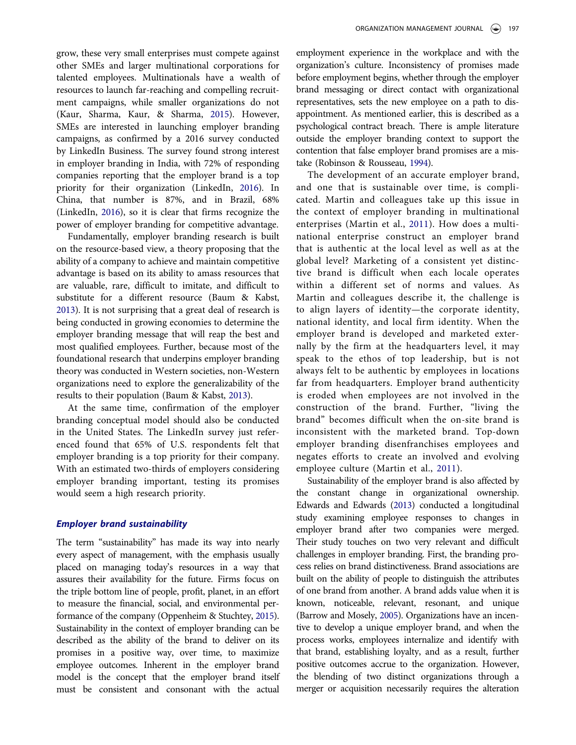grow, these very small enterprises must compete against other SMEs and larger multinational corporations for talented employees. Multinationals have a wealth of resources to launch far-reaching and compelling recruitment campaigns, while smaller organizations do not (Kaur, Sharma, Kaur, & Sharma, [2015](#page-8-24)). However, SMEs are interested in launching employer branding campaigns, as confirmed by a 2016 survey conducted by LinkedIn Business. The survey found strong interest in employer branding in India, with 72% of responding companies reporting that the employer brand is a top priority for their organization (LinkedIn, [2016\)](#page-8-25). In China, that number is 87%, and in Brazil, 68% (LinkedIn, [2016\)](#page-8-25), so it is clear that firms recognize the power of employer branding for competitive advantage.

Fundamentally, employer branding research is built on the resource-based view, a theory proposing that the ability of a company to achieve and maintain competitive advantage is based on its ability to amass resources that are valuable, rare, difficult to imitate, and difficult to substitute for a different resource (Baum & Kabst, [2013\)](#page-7-5). It is not surprising that a great deal of research is being conducted in growing economies to determine the employer branding message that will reap the best and most qualified employees. Further, because most of the foundational research that underpins employer branding theory was conducted in Western societies, non-Western organizations need to explore the generalizability of the results to their population (Baum & Kabst, [2013\)](#page-7-5).

At the same time, confirmation of the employer branding conceptual model should also be conducted in the United States. The LinkedIn survey just referenced found that 65% of U.S. respondents felt that employer branding is a top priority for their company. With an estimated two-thirds of employers considering employer branding important, testing its promises would seem a high research priority.

#### Employer brand sustainability

The term "sustainability" has made its way into nearly every aspect of management, with the emphasis usually placed on managing today's resources in a way that assures their availability for the future. Firms focus on the triple bottom line of people, profit, planet, in an effort to measure the financial, social, and environmental performance of the company (Oppenheim & Stuchtey, [2015](#page-8-26)). Sustainability in the context of employer branding can be described as the ability of the brand to deliver on its promises in a positive way, over time, to maximize employee outcomes. Inherent in the employer brand model is the concept that the employer brand itself must be consistent and consonant with the actual

employment experience in the workplace and with the organization's culture. Inconsistency of promises made before employment begins, whether through the employer brand messaging or direct contact with organizational representatives, sets the new employee on a path to disappointment. As mentioned earlier, this is described as a psychological contract breach. There is ample literature outside the employer branding context to support the contention that false employer brand promises are a mistake (Robinson & Rousseau, [1994\)](#page-9-7).

The development of an accurate employer brand, and one that is sustainable over time, is complicated. Martin and colleagues take up this issue in the context of employer branding in multinational enterprises (Martin et al., [2011\)](#page-8-17). How does a multinational enterprise construct an employer brand that is authentic at the local level as well as at the global level? Marketing of a consistent yet distinctive brand is difficult when each locale operates within a different set of norms and values. As Martin and colleagues describe it, the challenge is to align layers of identity—the corporate identity, national identity, and local firm identity. When the employer brand is developed and marketed externally by the firm at the headquarters level, it may speak to the ethos of top leadership, but is not always felt to be authentic by employees in locations far from headquarters. Employer brand authenticity is eroded when employees are not involved in the construction of the brand. Further, "living the brand" becomes difficult when the on-site brand is inconsistent with the marketed brand. Top-down employer branding disenfranchises employees and negates efforts to create an involved and evolving employee culture (Martin et al., [2011](#page-8-17)).

Sustainability of the employer brand is also affected by the constant change in organizational ownership. Edwards and Edwards ([2013\)](#page-8-27) conducted a longitudinal study examining employee responses to changes in employer brand after two companies were merged. Their study touches on two very relevant and difficult challenges in employer branding. First, the branding process relies on brand distinctiveness. Brand associations are built on the ability of people to distinguish the attributes of one brand from another. A brand adds value when it is known, noticeable, relevant, resonant, and unique (Barrow and Mosely, [2005](#page-7-6)). Organizations have an incentive to develop a unique employer brand, and when the process works, employees internalize and identify with that brand, establishing loyalty, and as a result, further positive outcomes accrue to the organization. However, the blending of two distinct organizations through a merger or acquisition necessarily requires the alteration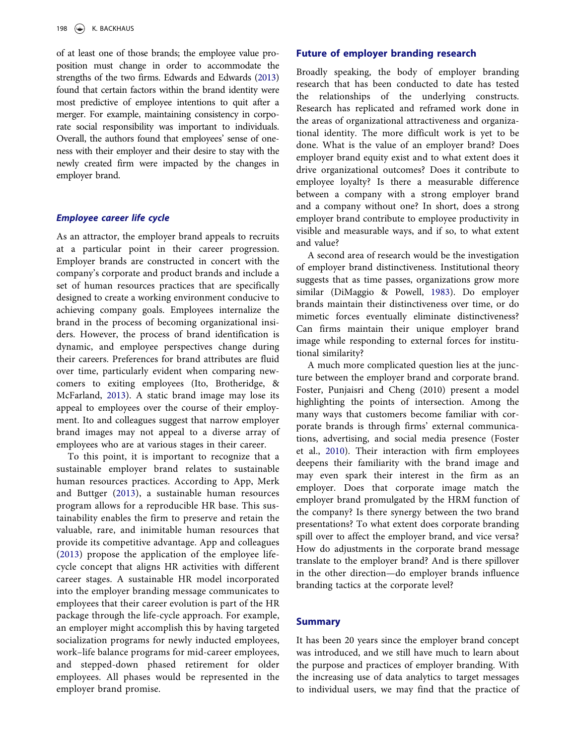of at least one of those brands; the employee value proposition must change in order to accommodate the strengths of the two firms. Edwards and Edwards [\(2013](#page-8-27)) found that certain factors within the brand identity were most predictive of employee intentions to quit after a merger. For example, maintaining consistency in corporate social responsibility was important to individuals. Overall, the authors found that employees' sense of oneness with their employer and their desire to stay with the newly created firm were impacted by the changes in employer brand.

#### Employee career life cycle

As an attractor, the employer brand appeals to recruits at a particular point in their career progression. Employer brands are constructed in concert with the company's corporate and product brands and include a set of human resources practices that are specifically designed to create a working environment conducive to achieving company goals. Employees internalize the brand in the process of becoming organizational insiders. However, the process of brand identification is dynamic, and employee perspectives change during their careers. Preferences for brand attributes are fluid over time, particularly evident when comparing newcomers to exiting employees (Ito, Brotheridge, & McFarland, [2013\)](#page-8-28). A static brand image may lose its appeal to employees over the course of their employment. Ito and colleagues suggest that narrow employer brand images may not appeal to a diverse array of employees who are at various stages in their career.

To this point, it is important to recognize that a sustainable employer brand relates to sustainable human resources practices. According to App, Merk and Buttger ([2013](#page-7-7)), a sustainable human resources program allows for a reproducible HR base. This sustainability enables the firm to preserve and retain the valuable, rare, and inimitable human resources that provide its competitive advantage. App and colleagues ([2013](#page-7-7)) propose the application of the employee lifecycle concept that aligns HR activities with different career stages. A sustainable HR model incorporated into the employer branding message communicates to employees that their career evolution is part of the HR package through the life-cycle approach. For example, an employer might accomplish this by having targeted socialization programs for newly inducted employees, work–life balance programs for mid-career employees, and stepped-down phased retirement for older employees. All phases would be represented in the employer brand promise.

#### Future of employer branding research

Broadly speaking, the body of employer branding research that has been conducted to date has tested the relationships of the underlying constructs. Research has replicated and reframed work done in the areas of organizational attractiveness and organizational identity. The more difficult work is yet to be done. What is the value of an employer brand? Does employer brand equity exist and to what extent does it drive organizational outcomes? Does it contribute to employee loyalty? Is there a measurable difference between a company with a strong employer brand and a company without one? In short, does a strong employer brand contribute to employee productivity in visible and measurable ways, and if so, to what extent and value?

A second area of research would be the investigation of employer brand distinctiveness. Institutional theory suggests that as time passes, organizations grow more similar (DiMaggio & Powell, [1983](#page-8-29)). Do employer brands maintain their distinctiveness over time, or do mimetic forces eventually eliminate distinctiveness? Can firms maintain their unique employer brand image while responding to external forces for institutional similarity?

A much more complicated question lies at the juncture between the employer brand and corporate brand. Foster, Punjaisri and Cheng (2010) present a model highlighting the points of intersection. Among the many ways that customers become familiar with corporate brands is through firms' external communications, advertising, and social media presence (Foster et al., [2010](#page-8-30)). Their interaction with firm employees deepens their familiarity with the brand image and may even spark their interest in the firm as an employer. Does that corporate image match the employer brand promulgated by the HRM function of the company? Is there synergy between the two brand presentations? To what extent does corporate branding spill over to affect the employer brand, and vice versa? How do adjustments in the corporate brand message translate to the employer brand? And is there spillover in the other direction—do employer brands influence branding tactics at the corporate level?

#### Summary

It has been 20 years since the employer brand concept was introduced, and we still have much to learn about the purpose and practices of employer branding. With the increasing use of data analytics to target messages to individual users, we may find that the practice of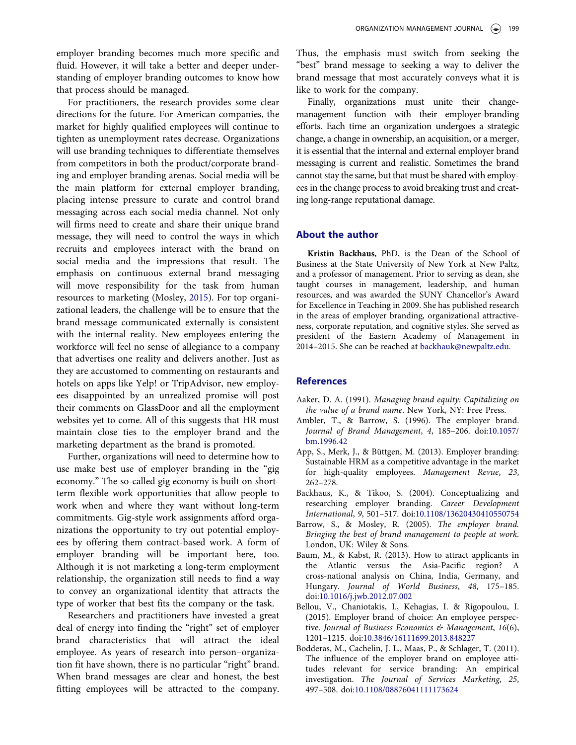employer branding becomes much more specific and fluid. However, it will take a better and deeper understanding of employer branding outcomes to know how that process should be managed.

For practitioners, the research provides some clear directions for the future. For American companies, the market for highly qualified employees will continue to tighten as unemployment rates decrease. Organizations will use branding techniques to differentiate themselves from competitors in both the product/corporate branding and employer branding arenas. Social media will be the main platform for external employer branding, placing intense pressure to curate and control brand messaging across each social media channel. Not only will firms need to create and share their unique brand message, they will need to control the ways in which recruits and employees interact with the brand on social media and the impressions that result. The emphasis on continuous external brand messaging will move responsibility for the task from human resources to marketing (Mosley, [2015](#page-8-31)). For top organizational leaders, the challenge will be to ensure that the brand message communicated externally is consistent with the internal reality. New employees entering the workforce will feel no sense of allegiance to a company that advertises one reality and delivers another. Just as they are accustomed to commenting on restaurants and hotels on apps like Yelp! or TripAdvisor, new employees disappointed by an unrealized promise will post their comments on GlassDoor and all the employment websites yet to come. All of this suggests that HR must maintain close ties to the employer brand and the marketing department as the brand is promoted.

Further, organizations will need to determine how to use make best use of employer branding in the "gig economy." The so-called gig economy is built on shortterm flexible work opportunities that allow people to work when and where they want without long-term commitments. Gig-style work assignments afford organizations the opportunity to try out potential employees by offering them contract-based work. A form of employer branding will be important here, too. Although it is not marketing a long-term employment relationship, the organization still needs to find a way to convey an organizational identity that attracts the type of worker that best fits the company or the task.

Researchers and practitioners have invested a great deal of energy into finding the "right" set of employer brand characteristics that will attract the ideal employee. As years of research into person–organization fit have shown, there is no particular "right" brand. When brand messages are clear and honest, the best fitting employees will be attracted to the company. Thus, the emphasis must switch from seeking the "best" brand message to seeking a way to deliver the brand message that most accurately conveys what it is like to work for the company.

Finally, organizations must unite their changemanagement function with their employer-branding efforts. Each time an organization undergoes a strategic change, a change in ownership, an acquisition, or a merger, it is essential that the internal and external employer brand messaging is current and realistic. Sometimes the brand cannot stay the same, but that must be shared with employees in the change process to avoid breaking trust and creating long-range reputational damage.

#### About the author

Kristin Backhaus, PhD, is the Dean of the School of Business at the State University of New York at New Paltz, and a professor of management. Prior to serving as dean, she taught courses in management, leadership, and human resources, and was awarded the SUNY Chancellor's Award for Excellence in Teaching in 2009. She has published research in the areas of employer branding, organizational attractiveness, corporate reputation, and cognitive styles. She served as president of the Eastern Academy of Management in 2014–2015. She can be reached at backhauk@newpaltz.edu.

#### **References**

- <span id="page-7-1"></span>Aaker, D. A. (1991). Managing brand equity: Capitalizing on the value of a brand name. New York, NY: Free Press.
- <span id="page-7-0"></span>Ambler, T., & Barrow, S. (1996). The employer brand. Journal of Brand Management, 4, 185–206. doi:[10.1057/](http://dx.doi.org/10.1057/bm.1996.42) [bm.1996.42](http://dx.doi.org/10.1057/bm.1996.42)
- <span id="page-7-7"></span>App, S., Merk, J., & Büttgen, M. (2013). Employer branding: Sustainable HRM as a competitive advantage in the market for high-quality employees. Management Revue, 23, 262–278.
- <span id="page-7-2"></span>Backhaus, K., & Tikoo, S. (2004). Conceptualizing and researching employer branding. Career Development International, 9, 501–517. doi:[10.1108/13620430410550754](http://dx.doi.org/10.1108/13620430410550754)
- <span id="page-7-6"></span>Barrow, S., & Mosley, R. (2005). The employer brand. Bringing the best of brand management to people at work. London, UK: Wiley & Sons.
- <span id="page-7-5"></span>Baum, M., & Kabst, R. (2013). How to attract applicants in the Atlantic versus the Asia-Pacific region? A cross-national analysis on China, India, Germany, and Hungary. Journal of World Business, 48, 175–185. doi:[10.1016/j.jwb.2012.07.002](http://dx.doi.org/10.1016/j.jwb.2012.07.002)
- <span id="page-7-3"></span>Bellou, V., Chaniotakis, I., Kehagias, I. & Rigopoulou, I. (2015). Employer brand of choice: An employee perspective. Journal of Business Economics & Management,  $16(6)$ , 1201–1215. doi:[10.3846/16111699.2013.848227](http://dx.doi.org/10.3846/16111699.2013.848227)
- <span id="page-7-4"></span>Bodderas, M., Cachelin, J. L., Maas, P., & Schlager, T. (2011). The influence of the employer brand on employee attitudes relevant for service branding: An empirical investigation. The Journal of Services Marketing, 25, 497–508. doi:[10.1108/08876041111173624](http://dx.doi.org/10.1108/08876041111173624)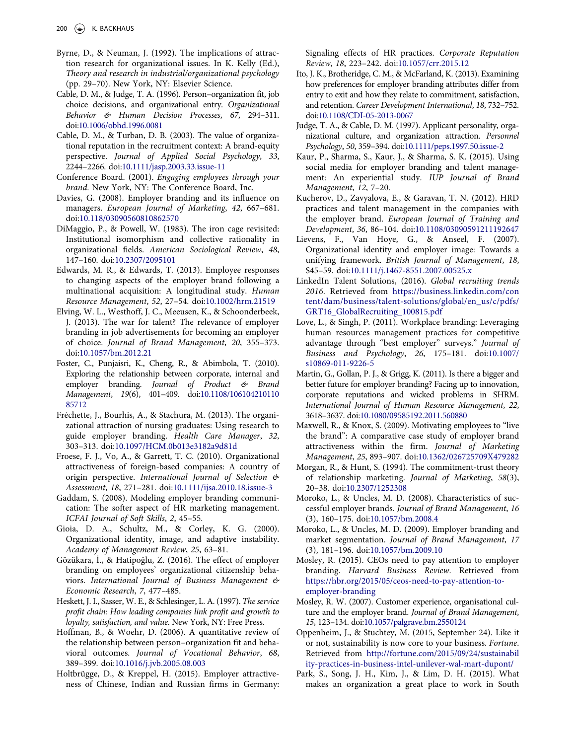- <span id="page-8-15"></span>Byrne, D., & Neuman, J. (1992). The implications of attraction research for organizational issues. In K. Kelly (Ed.), Theory and research in industrial/organizational psychology (pp. 29–70). New York, NY: Elsevier Science.
- <span id="page-8-4"></span>Cable, D. M., & Judge, T. A. (1996). Person–organization fit, job choice decisions, and organizational entry. Organizational Behavior & Human Decision Processes, 67, 294–311. doi:[10.1006/obhd.1996.0081](http://dx.doi.org/10.1006/obhd.1996.0081)
- <span id="page-8-7"></span>Cable, D. M., & Turban, D. B. (2003). The value of organizational reputation in the recruitment context: A brand-equity perspective. Journal of Applied Social Psychology, 33, 2244–2266. doi:[10.1111/jasp.2003.33.issue-11](http://dx.doi.org/10.1111/jasp.2003.33.issue-11)
- <span id="page-8-0"></span>Conference Board. (2001). Engaging employees through your brand. New York, NY: The Conference Board, Inc.
- <span id="page-8-21"></span>Davies, G. (2008). Employer branding and its influence on managers. European Journal of Marketing, 42, 667–681. doi:[10.118/03090560810862570](http://dx.doi.org/10.118/03090560810862570)
- <span id="page-8-29"></span>DiMaggio, P., & Powell, W. (1983). The iron cage revisited: Institutional isomorphism and collective rationality in organizational fields. American Sociological Review, 48, 147–160. doi:[10.2307/2095101](http://dx.doi.org/10.2307/2095101)
- <span id="page-8-27"></span>Edwards, M. R., & Edwards, T. (2013). Employee responses to changing aspects of the employer brand following a multinational acquisition: A longitudinal study. Human Resource Management, 52, 27–54. doi:[10.1002/hrm.21519](http://dx.doi.org/10.1002/hrm.21519)
- <span id="page-8-11"></span>Elving, W. L., Westhoff, J. C., Meeusen, K., & Schoonderbeek, J. (2013). The war for talent? The relevance of employer branding in job advertisements for becoming an employer of choice. Journal of Brand Management, 20, 355–373. doi:[10.1057/bm.2012.21](http://dx.doi.org/10.1057/bm.2012.21)
- <span id="page-8-30"></span>Foster, C., Punjaisri, K., Cheng, R., & Abimbola, T. (2010). Exploring the relationship between corporate, internal and employer branding. Journal of Product & Brand Management, 19(6), 401–409. doi:[10.1108/106104210110](http://dx.doi.org/10.1108/10610421011085712) [85712](http://dx.doi.org/10.1108/10610421011085712)
- Fréchette, J., Bourhis, A., & Stachura, M. (2013). The organizational attraction of nursing graduates: Using research to guide employer branding. Health Care Manager, 32, 303–313. doi:[10.1097/HCM.0b013e3182a9d81d](http://dx.doi.org/10.1097/HCM.0b013e3182a9d81d)
- <span id="page-8-8"></span>Froese, F. J., Vo, A., & Garrett, T. C. (2010). Organizational attractiveness of foreign-based companies: A country of origin perspective. International Journal of Selection & Assessment, 18, 271–281. doi:[10.1111/ijsa.2010.18.issue-3](http://dx.doi.org/10.1111/ijsa.2010.18.issue-3)
- <span id="page-8-20"></span>Gaddam, S. (2008). Modeling employer branding communication: The softer aspect of HR marketing management. ICFAI Journal of Soft Skills, 2, 45–55.
- <span id="page-8-3"></span>Gioia, D. A., Schultz, M., & Corley, K. G. (2000). Organizational identity, image, and adaptive instability. Academy of Management Review, 25, 63–81.
- <span id="page-8-22"></span>Gözükara, İ., & Hatipoğlu, Z. (2016). The effect of employer branding on employees' organizational citizenship behaviors. International Journal of Business Management & Economic Research, 7, 477–485.
- <span id="page-8-19"></span>Heskett, J. I., Sasser, W. E., & Schlesinger, L. A. (1997). The service profit chain: How leading companies link profit and growth to loyalty, satisfaction, and value. New York, NY: Free Press.
- <span id="page-8-16"></span>Hoffman, B., & Woehr, D. (2006). A quantitative review of the relationship between person–organization fit and behavioral outcomes. Journal of Vocational Behavior, 68, 389–399. doi:[10.1016/j.jvb.2005.08.003](http://dx.doi.org/10.1016/j.jvb.2005.08.003)
- <span id="page-8-9"></span>Holtbrügge, D., & Kreppel, H. (2015). Employer attractiveness of Chinese, Indian and Russian firms in Germany:

Signaling effects of HR practices. Corporate Reputation Review, 18, 223–242. doi:[10.1057/crr.2015.12](http://dx.doi.org/10.1057/crr.2015.12)

- <span id="page-8-28"></span>Ito, J. K., Brotheridge, C. M., & McFarland, K. (2013). Examining how preferences for employer branding attributes differ from entry to exit and how they relate to commitment, satisfaction, and retention. Career Development International, 18, 732–752. doi:[10.1108/CDI-05-2013-0067](http://dx.doi.org/10.1108/CDI-05-2013-0067)
- <span id="page-8-5"></span>Judge, T. A., & Cable, D. M. (1997). Applicant personality, organizational culture, and organization attraction. Personnel Psychology, 50, 359–394. doi:[10.1111/peps.1997.50.issue-2](http://dx.doi.org/10.1111/peps.1997.50.issue-2)
- <span id="page-8-24"></span>Kaur, P., Sharma, S., Kaur, J., & Sharma, S. K. (2015). Using social media for employer branding and talent management: An experiential study. IUP Journal of Brand Management, 12, 7–20.
- <span id="page-8-1"></span>Kucherov, D., Zavyalova, E., & Garavan, T. N. (2012). HRD practices and talent management in the companies with the employer brand. European Journal of Training and Development, 36, 86–104. doi:[10.1108/03090591211192647](http://dx.doi.org/10.1108/03090591211192647)
- <span id="page-8-2"></span>Lievens, F., Van Hoye, G., & Anseel, F. (2007). Organizational identity and employer image: Towards a unifying framework. British Journal of Management, 18, S45–59. doi:[10.1111/j.1467-8551.2007.00525.x](http://dx.doi.org/10.1111/j.1467-8551.2007.00525.x)
- <span id="page-8-25"></span>LinkedIn Talent Solutions, (2016). Global recruiting trends 2016. Retrieved from [https://business.linkedin.com/con](https://business.linkedin.com/content/dam/business/talent-solutions/global/en_us/c/pdfs/GRT16_GlobalRecruiting_100815.pdf) [tent/dam/business/talent-solutions/global/en\\_us/c/pdfs/](https://business.linkedin.com/content/dam/business/talent-solutions/global/en_us/c/pdfs/GRT16_GlobalRecruiting_100815.pdf) [GRT16\\_GlobalRecruiting\\_100815.pdf](https://business.linkedin.com/content/dam/business/talent-solutions/global/en_us/c/pdfs/GRT16_GlobalRecruiting_100815.pdf)
- <span id="page-8-12"></span>Love, L., & Singh, P. (2011). Workplace branding: Leveraging human resources management practices for competitive advantage through "best employer" surveys." Journal of Business and Psychology, 26, 175–181. doi:[10.1007/](http://dx.doi.org/10.1007/s10869-011-9226-5) [s10869-011-9226-5](http://dx.doi.org/10.1007/s10869-011-9226-5)
- <span id="page-8-17"></span>Martin, G., Gollan, P. J., & Grigg, K. (2011). Is there a bigger and better future for employer branding? Facing up to innovation, corporate reputations and wicked problems in SHRM. International Journal of Human Resource Management, 22, 3618–3637. doi:[10.1080/09585192.2011.560880](http://dx.doi.org/10.1080/09585192.2011.560880)
- <span id="page-8-14"></span>Maxwell, R., & Knox, S. (2009). Motivating employees to "live the brand": A comparative case study of employer brand attractiveness within the firm. Journal of Marketing Management, 25, 893–907. doi:[10.1362/026725709X479282](http://dx.doi.org/10.1362/026725709X479282)
- <span id="page-8-18"></span>Morgan, R., & Hunt, S. (1994). The commitment-trust theory of relationship marketing. Journal of Marketing, 58(3), 20–38. doi:[10.2307/1252308](http://dx.doi.org/10.2307/1252308)
- <span id="page-8-6"></span>Moroko, L., & Uncles, M. D. (2008). Characteristics of successful employer brands. Journal of Brand Management, 16 (3), 160–175. doi:[10.1057/bm.2008.4](http://dx.doi.org/10.1057/bm.2008.4)
- <span id="page-8-13"></span>Moroko, L., & Uncles, M. D. (2009). Employer branding and market segmentation. Journal of Brand Management, 17 (3), 181–196. doi:[10.1057/bm.2009.10](http://dx.doi.org/10.1057/bm.2009.10)
- <span id="page-8-31"></span>Mosley, R. (2015). CEOs need to pay attention to employer branding. Harvard Business Review. Retrieved from [https://hbr.org/2015/05/ceos-need-to-pay-attention-to](https://hbr.org/2015/05/ceos-need-to-pay-attention-to-employer-branding)[employer-branding](https://hbr.org/2015/05/ceos-need-to-pay-attention-to-employer-branding)
- <span id="page-8-23"></span>Mosley, R. W. (2007). Customer experience, organisational culture and the employer brand. Journal of Brand Management, 15, 123–134. doi:[10.1057/palgrave.bm.2550124](http://dx.doi.org/10.1057/palgrave.bm.2550124)
- <span id="page-8-26"></span>Oppenheim, J., & Stuchtey, M. (2015, September 24). Like it or not, sustainability is now core to your business. Fortune. Retrieved from [http://fortune.com/2015/09/24/sustainabil](http://fortune.com/2015/09/24/sustainability-practices-in-business-intel-unilever-wal-mart-dupont/) [ity-practices-in-business-intel-unilever-wal-mart-dupont/](http://fortune.com/2015/09/24/sustainability-practices-in-business-intel-unilever-wal-mart-dupont/)
- <span id="page-8-10"></span>Park, S., Song, J. H., Kim, J., & Lim, D. H. (2015). What makes an organization a great place to work in South